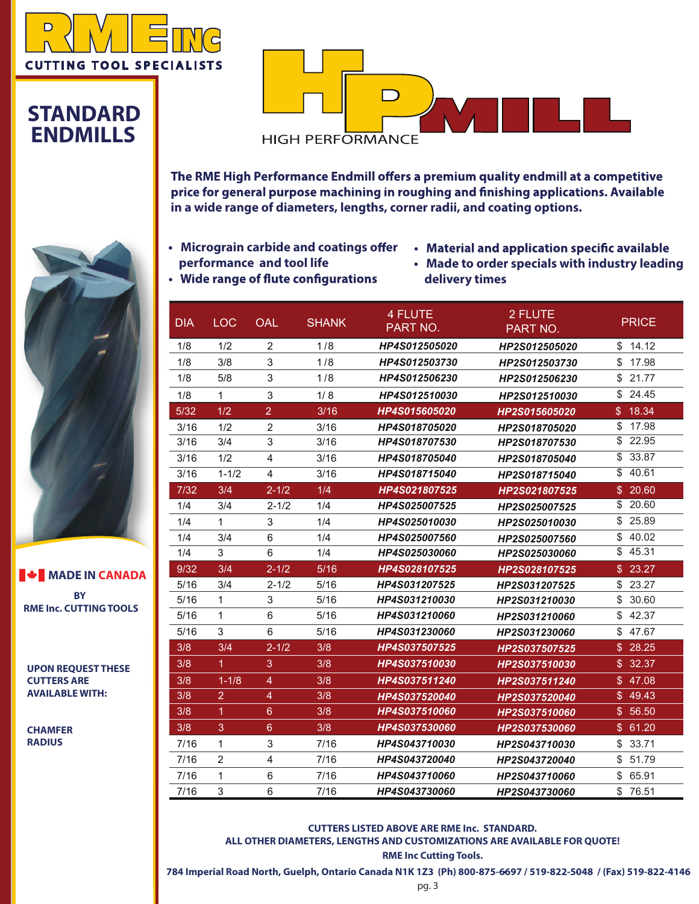

#### **STANDARD ENDMILLS**



The RME High Performance Endmill offers a premium quality endmill at a competitive price for general purpose machining in roughing and finishing applications. Available **in a wide range of diameters, lengths, corner radii, and coating options.**

- **•** Micrograin carbide and coatings offer **performance and tool life** • Wide range of flute configurations
- Material and application specific available
- **• Made to order specials with industry leading delivery times**

| <b>DIA</b> | <b>LOC</b>           | OAL            | <b>SHANK</b> | <b>4 FLUTE</b><br>PART NO. | 2 FLUTE<br>PART NO. | <b>PRICE</b>            |
|------------|----------------------|----------------|--------------|----------------------------|---------------------|-------------------------|
| 1/8        | 1/2                  | $\overline{2}$ | 1/8          | HP4S012505020              | HP2S012505020       | \$14.12                 |
| 1/8        | 3/8                  | 3              | 1/8          | HP4S012503730              | HP2S012503730       | \$<br>17.98             |
| 1/8        | 5/8                  | 3              | 1/8          | HP4S012506230              | HP2S012506230       | \$21.77                 |
| 1/8        | $\mathbf{1}$         | 3              | 1/8          | HP4S012510030              | HP2S012510030       | \$<br>24.45             |
| $5/32$     | 1/2                  | $\overline{2}$ | 3/16         | HP4S015605020              | HP2S015605020       | \$18.34                 |
| 3/16       | 1/2                  | $\overline{c}$ | 3/16         | HP4S018705020              | HP2S018705020       | \$<br>17.98             |
| 3/16       | 3/4                  | 3              | 3/16         | HP4S018707530              | HP2S018707530       | 22.95<br>\$             |
| 3/16       | 1/2                  | $\overline{4}$ | 3/16         | HP4S018705040              | HP2S018705040       | \$33.87                 |
| 3/16       | $1 - 1/2$            | 4              | 3/16         | HP4S018715040              | HP2S018715040       | \$40.61                 |
| $7/32$     | 3/4                  | $2 - 1/2$      | 1/4          | HP4S021807525              | HP2S021807525       | 20.60<br>$\mathbb{S}$   |
| 1/4        | 3/4                  | $2 - 1/2$      | 1/4          | HP4S025007525              | HP2S025007525       | 20.60<br>\$             |
| 1/4        | $\mathbf{1}$         | 3              | 1/4          | HP4S025010030              | HP2S025010030       | 25.89<br>\$             |
| 1/4        | 3/4                  | 6              | 1/4          | HP4S025007560              | HP2S025007560       | 40.02<br>\$             |
| 1/4        | 3                    | 6              | 1/4          | HP4S025030060              | HP2S025030060       | \$<br>45.31             |
| 9/32       | 3/4                  | $2 - 1/2$      | 5/16         | HP4S028107525              | HP2S028107525       | 23.27<br>$\mathbb{S}^-$ |
| 5/16       | 3/4                  | $2 - 1/2$      | 5/16         | HP4S031207525              | HP2S031207525       | \$<br>23.27             |
| 5/16       | $\mathbf{1}$         | 3              | 5/16         | HP4S031210030              | HP2S031210030       | \$<br>30.60             |
| 5/16       | $\mathbf{1}$         | 6              | 5/16         | HP4S031210060              | HP2S031210060       | \$<br>42.37             |
| 5/16       | 3                    | 6              | 5/16         | HP4S031230060              | HP2S031230060       | \$<br>47.67             |
| 3/8        | 3/4                  | $2 - 1/2$      | 3/8          | HP4S037507525              | HP2S037507525       | 28.25<br>\$             |
| 3/8        | $\blacktriangleleft$ | 3              | 3/8          | HP4S037510030              | HP2S037510030       | \$32.37                 |
| 3/8        | $1 - 1/8$            | $\overline{4}$ | 3/8          | HP4S037511240              | HP2S037511240       | \$47.08                 |
| 3/8        | $\overline{2}$       | $\overline{4}$ | 3/8          | HP4S037520040              | HP2S037520040       | \$49.43                 |
| 3/8        | 1                    | $6\phantom{1}$ | 3/8          | HP4S037510060              | HP2S037510060       | \$56.50                 |
| 3/8        | 3                    | $6\phantom{1}$ | 3/8          | HP4S037530060              | HP2S037530060       | \$61.20                 |
| 7/16       | $\mathbf{1}$         | 3              | 7/16         | HP4S043710030              | HP2S043710030       | \$<br>33.71             |
| 7/16       | $\overline{2}$       | $\overline{4}$ | 7/16         | HP4S043720040              | HP2S043720040       | 51.79<br>\$             |
| 7/16       | 1                    | 6              | 7/16         | HP4S043710060              | HP2S043710060       | \$65.91                 |
| 7/16       | 3                    | 6              | 7/16         | HP4S043730060              | HP2S043730060       | \$76.51                 |

**CUTTERS LISTED ABOVE ARE RME Inc. STANDARD. ALL OTHER DIAMETERS, LENGTHS AND CUSTOMIZATIONS ARE AVAILABLE FOR QUOTE!** 

**RME Inc Cutting Tools.** 

**784 Imperial Road North, Guelph, Ontario Canada N1K 1Z3 (Ph) 800-875-6697 / 519-822-5048 / (Fax) 519-822-4146** 



**BY RME Inc. CUTTINGTOOLS MADE IN CANADA** 

**UPON REQUEST THESE CUTTERS ARE AVAILABLE WITH:** 

**CHAMFER RADIUS**

pg. 3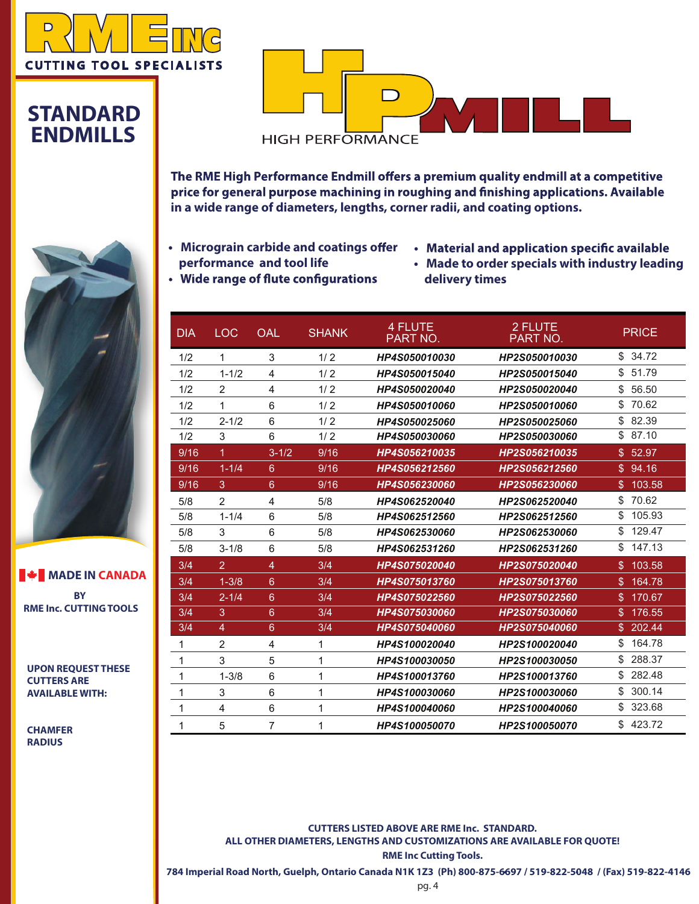

#### **STANDARD ENDMILLS**

**CHAMFER RADIUS**



The RME High Performance Endmill offers a premium quality endmill at a competitive price for general purpose machining in roughing and finishing applications. Available **in a wide range of diameters, lengths, corner radii, and coating options.**

- **Micrograin carbide and coatings offer performance and tool life** • Wide range of flute configurations
- Material and application specific available
- **Made to order specials with industry leading delivery times**

| $\mathbf{D}$ | $\overline{1}$ | $\bigcap$ $\bigcap$ |  |
|--------------|----------------|---------------------|--|

|                                                 | <b>DIA</b> | <b>LOC</b>              | <b>OAL</b>     | <b>SHANK</b> | 4 FLUTE<br>PART NO. | 2 FLUTE<br>PART NO. | <b>PRICE</b>             |
|-------------------------------------------------|------------|-------------------------|----------------|--------------|---------------------|---------------------|--------------------------|
|                                                 | 1/2        | 1                       | 3              | 1/2          | HP4S050010030       | HP2S050010030       | \$34.72                  |
|                                                 | 1/2        | $1 - 1/2$               | 4              | 1/2          | HP4S050015040       | HP2S050015040       | \$<br>51.79              |
|                                                 | 1/2        | 2                       | 4              | 1/2          | HP4S050020040       | HP2S050020040       | \$<br>56.50              |
|                                                 | 1/2        | 1                       | 6              | 1/2          | HP4S050010060       | HP2S050010060       | \$<br>70.62              |
|                                                 | 1/2        | $2 - 1/2$               | 6              | 1/2          | HP4S050025060       | HP2S050025060       | 82.39<br>\$              |
|                                                 | 1/2        | 3                       | 6              | 1/2          | HP4S050030060       | HP2S050030060       | \$87.10                  |
|                                                 | 9/16       | 1                       | $3 - 1/2$      | 9/16         | HP4S056210035       | HP2S056210035       | \$52.97                  |
|                                                 | 9/16       | $1 - 1/4$               | $6^{\circ}$    | 9/16         | HP4S056212560       | HP2S056212560       | \$94.16                  |
|                                                 | 9/16       | 3                       | 6              | 9/16         | HP4S056230060       | HP2S056230060       | \$103.58                 |
|                                                 | 5/8        | 2                       | 4              | 5/8          | HP4S062520040       | HP2S062520040       | 70.62<br>\$              |
|                                                 | 5/8        | $1 - 1/4$               | 6              | 5/8          | HP4S062512560       | HP2S062512560       | \$<br>105.93             |
|                                                 | 5/8        | 3                       | 6              | 5/8          | HP4S062530060       | HP2S062530060       | 129.47<br>\$             |
|                                                 | 5/8        | $3 - 1/8$               | 6              | 5/8          | HP4S062531260       | HP2S062531260       | \$147.13                 |
|                                                 | 3/4        | $\overline{2}$          | $\overline{4}$ | 3/4          | HP4S075020040       | HP2S075020040       | \$103.58                 |
| <b>WE MADE IN CANADA</b>                        | 3/4        | $1 - 3/8$               | $6^{\circ}$    | 3/4          | HP4S075013760       | HP2S075013760       | 164.78<br>$\mathbb{S}^-$ |
| <b>BY</b>                                       | 3/4        | $2 - 1/4$               | 6              | 3/4          | HP4S075022560       | HP2S075022560       | \$170.67                 |
| <b>RME Inc. CUTTING TOOLS</b>                   | 3/4        | 3                       | $6^{\circ}$    | 3/4          | HP4S075030060       | HP2S075030060       | \$176.55                 |
|                                                 | 3/4        | 4                       | $6\phantom{1}$ | 3/4          | HP4S075040060       | HP2S075040060       | \$202.44                 |
|                                                 | 1          | $\overline{\mathbf{c}}$ | 4              | 1            | HP4S100020040       | HP2S100020040       | 164.78<br>\$             |
|                                                 | 1          | 3                       | 5              | 1            | HP4S100030050       | HP2S100030050       | \$<br>288.37             |
| <b>UPON REQUEST THESE</b><br><b>CUTTERS ARE</b> | 1          | $1 - 3/8$               | 6              | 1            | HP4S100013760       | HP2S100013760       | 282.48<br>\$             |
| <b>AVAILABLE WITH:</b>                          | 1          | 3                       | 6              |              | HP4S100030060       | HP2S100030060       | \$<br>300.14             |
|                                                 | 1          | 4                       | 6              | 1            | HP4S100040060       | HP2S100040060       | \$323.68                 |
| <b>CHAMFER</b>                                  |            | 5                       | 7              |              | HP4S100050070       | HP2S100050070       | \$423.72                 |
|                                                 |            |                         |                |              |                     |                     |                          |

**CUTTERS LISTED ABOVE ARE RME Inc. STANDARD. ALL OTHER DIAMETERS, LENGTHS AND CUSTOMIZATIONS ARE AVAILABLE FOR QUOTE!** 

**RME Inc Cutting Tools.** 

**784 Imperial Road North, Guelph, Ontario Canada N1K 1Z3 (Ph) 800-875-6697 / 519-822-5048 / (Fax) 519-822-4146**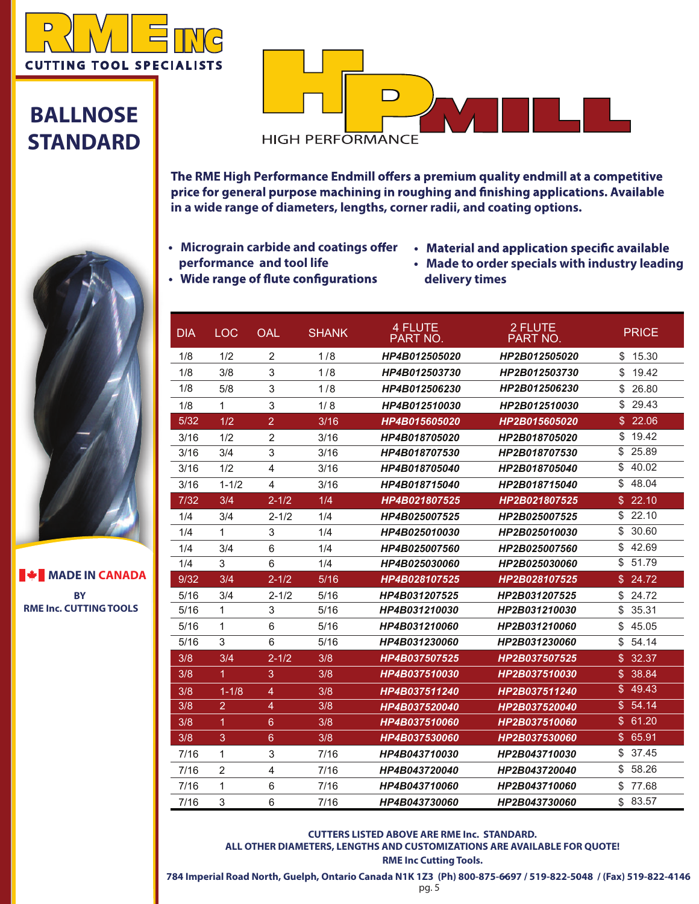

## **BALLNOSE STANDARD**



The RME High Performance Endmill offers a premium quality endmill at a competitive price for general purpose machining in roughing and finishing applications. Available **in a wide range of diameters, lengths, corner radii, and coating options.**

- **Micrograin carbide and coatings offer performance and tool life** • Wide range of flute configurations
- Material and application specific available
- **Made to order specials with industry leading delivery times**

| <b>DIA</b> | <b>LOC</b>           | <b>OAL</b>               | <b>SHANK</b> | <b>4 FLUTE</b><br><b>PART NO.</b> | 2 FLUTE<br>PART NO. | <b>PRICE</b>            |
|------------|----------------------|--------------------------|--------------|-----------------------------------|---------------------|-------------------------|
| 1/8        | 1/2                  | 2                        | 1/8          | HP4B012505020                     | HP2B012505020       | \$15.30                 |
| 1/8        | 3/8                  | 3                        | 1/8          | HP4B012503730                     | HP2B012503730       | \$<br>19.42             |
| 1/8        | 5/8                  | 3                        | 1/8          | HP4B012506230                     | HP2B012506230       | \$<br>26.80             |
| 1/8        | $\mathbf{1}$         | 3                        | 1/8          | HP4B012510030                     | HP2B012510030       | 29.43<br>\$             |
| $5/32$     | 1/2                  | $\overline{2}$           | 3/16         | <b>HP4B015605020</b>              | HP2B015605020       | 22.06<br>\$             |
| 3/16       | 1/2                  | $\overline{2}$           | 3/16         | HP4B018705020                     | HP2B018705020       | \$<br>19.42             |
| 3/16       | 3/4                  | 3                        | 3/16         | HP4B018707530                     | HP2B018707530       | 25.89<br>\$             |
| 3/16       | 1/2                  | 4                        | 3/16         | HP4B018705040                     | HP2B018705040       | \$<br>40.02             |
| 3/16       | $1 - 1/2$            | 4                        | 3/16         | HP4B018715040                     | HP2B018715040       | \$<br>48.04             |
| $7/32$     | 3/4                  | $2 - 1/2$                | 1/4          | HP4B021807525                     | HP2B021807525       | \$22.10                 |
| 1/4        | 3/4                  | $2 - 1/2$                | 1/4          | HP4B025007525                     | HP2B025007525       | \$<br>22.10             |
| 1/4        | $\mathbf{1}$         | 3                        | 1/4          | HP4B025010030                     | HP2B025010030       | \$<br>30.60             |
| 1/4        | 3/4                  | 6                        | 1/4          | HP4B025007560                     | HP2B025007560       | \$<br>42.69             |
| 1/4        | 3                    | 6                        | 1/4          | HP4B025030060                     | HP2B025030060       | \$<br>51.79             |
| 9/32       | 3/4                  | $2 - 1/2$                | 5/16         | HP4B028107525                     | HP2B028107525       | 24.72<br>\$             |
| 5/16       | 3/4                  | $2 - 1/2$                | 5/16         | HP4B031207525                     | HP2B031207525       | 24.72<br>\$             |
| 5/16       | $\mathbf{1}$         | 3                        | 5/16         | HP4B031210030                     | HP2B031210030       | \$<br>35.31             |
| 5/16       | $\mathbf{1}$         | 6                        | 5/16         | HP4B031210060                     | HP2B031210060       | \$<br>45.05             |
| 5/16       | $\overline{3}$       | 6                        | 5/16         | HP4B031230060                     | HP2B031230060       | \$<br>54.14             |
| 3/8        | 3/4                  | $2 - 1/2$                | 3/8          | <b>HP4B037507525</b>              | HP2B037507525       | \$.<br>32.37            |
| 3/8        | $\blacktriangleleft$ | 3                        | 3/8          | HP4B037510030                     | HP2B037510030       | 38.84<br>\$             |
| 3/8        | $1 - 1/8$            | $\overline{\mathcal{A}}$ | 3/8          | HP4B037511240                     | HP2B037511240       | $\mathfrak{L}$<br>49.43 |
| 3/8        | $\overline{2}$       | 4                        | 3/8          | HP4B037520040                     | HP2B037520040       | 54.14<br>\$.            |
| 3/8        | 1                    | 6                        | 3/8          | HP4B037510060                     | HP2B037510060       | \$61.20                 |
| 3/8        | 3                    | 6                        | 3/8          | <b>HP4B037530060</b>              | HP2B037530060       | \$<br>65.91             |
| 7/16       | $\mathbf{1}$         | 3                        | 7/16         | HP4B043710030                     | HP2B043710030       | \$<br>37.45             |
| 7/16       | $\overline{2}$       | 4                        | 7/16         | HP4B043720040                     | HP2B043720040       | \$<br>58.26             |
| 7/16       | $\mathbf{1}$         | 6                        | 7/16         | HP4B043710060                     | HP2B043710060       | \$.<br>77.68            |
| 7/16       | 3                    | 6                        | 7/16         | HP4B043730060                     | HP2B043730060       | 83.57<br>\$.            |

**CUTTERS LISTED ABOVE ARE RME Inc. STANDARD. ALL OTHER DIAMETERS, LENGTHS AND CUSTOMIZATIONS ARE AVAILABLE FOR QUOTE!** 

**RME Inc Cutting Tools.** 

**784 Imperial Road North, Guelph, Ontario Canada N1K 1Z3 (Ph) 800-875-6697 / 519-822-5048 / (Fax) 519-822-4146** 

**BY RME Inc. CUTTINGTOOLS MADE IN CANADA** 

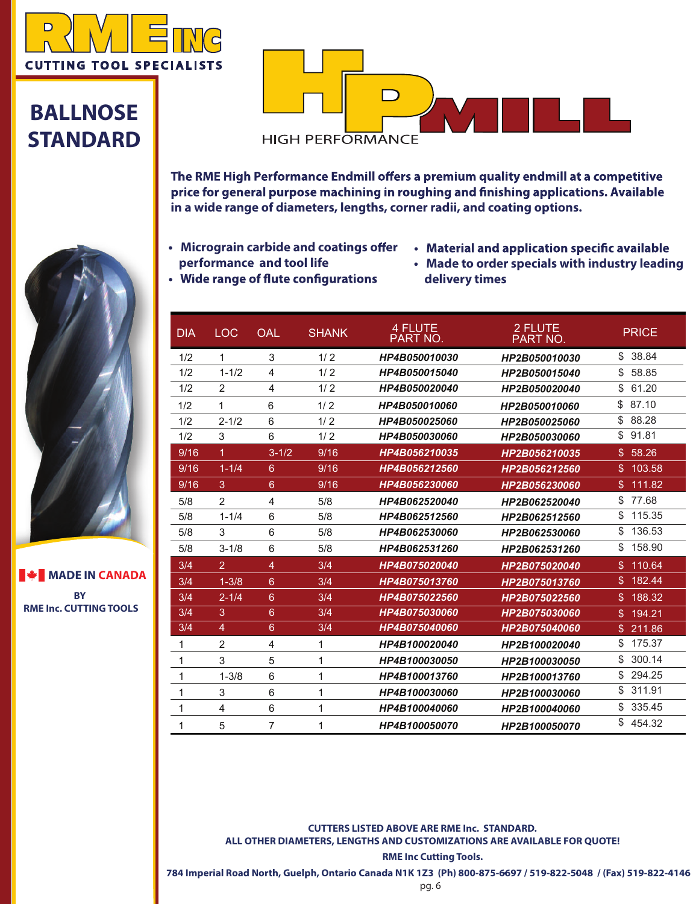

## **BALLNOSE STANDARD**

**BY RME Inc. CUTTINGTOOLS**

**MADE IN CANADA** 



The RME High Performance Endmill offers a premium quality endmill at a competitive price for general purpose machining in roughing and finishing applications. Available **in a wide range of diameters, lengths, corner radii, and coating options.**

- **•** Micrograin carbide and coatings offer **performance and tool life**
- Material and application specific available
- **• Made to order specials with industry leading delivery times**
- Wide range of flute configurations

| <b>DIA</b> | <b>LOC</b>     | <b>OAL</b>      | <b>SHANK</b> | <b>4 FLUTE</b><br>PART NO. | 2 FLUTE<br>PART NO. | <b>PRICE</b>             |
|------------|----------------|-----------------|--------------|----------------------------|---------------------|--------------------------|
| 1/2        | 1              | 3               | 1/2          | HP4B050010030              | HP2B050010030       | 38.84<br>\$              |
| 1/2        | $1 - 1/2$      | 4               | 1/2          | HP4B050015040              | HP2B050015040       | \$<br>58.85              |
| 1/2        | 2              | 4               | 1/2          | HP4B050020040              | HP2B050020040       | \$<br>61.20              |
| 1/2        | 1              | 6               | 1/2          | HP4B050010060              | HP2B050010060       | \$<br>87.10              |
| 1/2        | $2 - 1/2$      | 6               | 1/2          | HP4B050025060              | HP2B050025060       | \$<br>88.28              |
| 1/2        | 3              | 6               | 1/2          | HP4B050030060              | HP2B050030060       | \$<br>91.81              |
| 9/16       | $\mathbf{1}$   | $3 - 1/2$       | 9/16         | HP4B056210035              | HP2B056210035       | 58.26<br>\$              |
| 9/16       | $1 - 1/4$      | 6               | 9/16         | HP4B056212560              | HP2B056212560       | 103.58<br>\$.            |
| 9/16       | 3              | $6\phantom{1}$  | 9/16         | HP4B056230060              | HP2B056230060       | 111.82<br>\$             |
| 5/8        | $\overline{2}$ | 4               | 5/8          | HP4B062520040              | HP2B062520040       | \$<br>77.68              |
| 5/8        | $1 - 1/4$      | 6               | 5/8          | HP4B062512560              | HP2B062512560       | \$<br>115.35             |
| 5/8        | 3              | 6               | 5/8          | HP4B062530060              | HP2B062530060       | \$<br>136.53             |
| 5/8        | $3 - 1/8$      | 6               | 5/8          | HP4B062531260              | HP2B062531260       | 158.90<br>\$             |
| 3/4        | $\overline{2}$ | $\overline{4}$  | 3/4          | HP4B075020040              | HP2B075020040       | \$<br>110.64             |
| 3/4        | $1 - 3/8$      | $6^{\circ}$     | 3/4          | HP4B075013760              | HP2B075013760       | \$<br>182.44             |
| 3/4        | $2 - 1/4$      | $6\overline{6}$ | 3/4          | HP4B075022560              | HP2B075022560       | 188.32<br>\$.            |
| 3/4        | 3              | $6\overline{6}$ | 3/4          | HP4B075030060              | HP2B075030060       | $\mathfrak{L}$<br>194.21 |
| 3/4        | $\overline{4}$ | $6\overline{6}$ | 3/4          | HP4B075040060              | HP2B075040060       | \$<br>211.86             |
| 1          | 2              | 4               | 1            | HP4B100020040              | HP2B100020040       | \$<br>175.37             |
| 1          | 3              | 5               | 1            | HP4B100030050              | HP2B100030050       | \$.<br>300.14            |
| 1          | $1 - 3/8$      | 6               | 1            | HP4B100013760              | HP2B100013760       | \$<br>294.25             |
| 1          | 3              | 6               | 1            | HP4B100030060              | HP2B100030060       | \$<br>311.91             |
| 1          | 4              | 6               | 1            | HP4B100040060              | HP2B100040060       | \$<br>335.45             |
| 1          | 5              | $\overline{7}$  | 1            | HP4B100050070              | HP2B100050070       | \$<br>454.32             |

**CUTTERS LISTED ABOVE ARE RME Inc. STANDARD. ALL OTHER DIAMETERS, LENGTHS AND CUSTOMIZATIONS ARE AVAILABLE FOR QUOTE!** 

**RME Inc Cutting Tools.** 

**784 Imperial Road North, Guelph, Ontario Canada N1K 1Z3 (Ph) 800-875-6697 / 519-822-5048 / (Fax) 519-822-4146**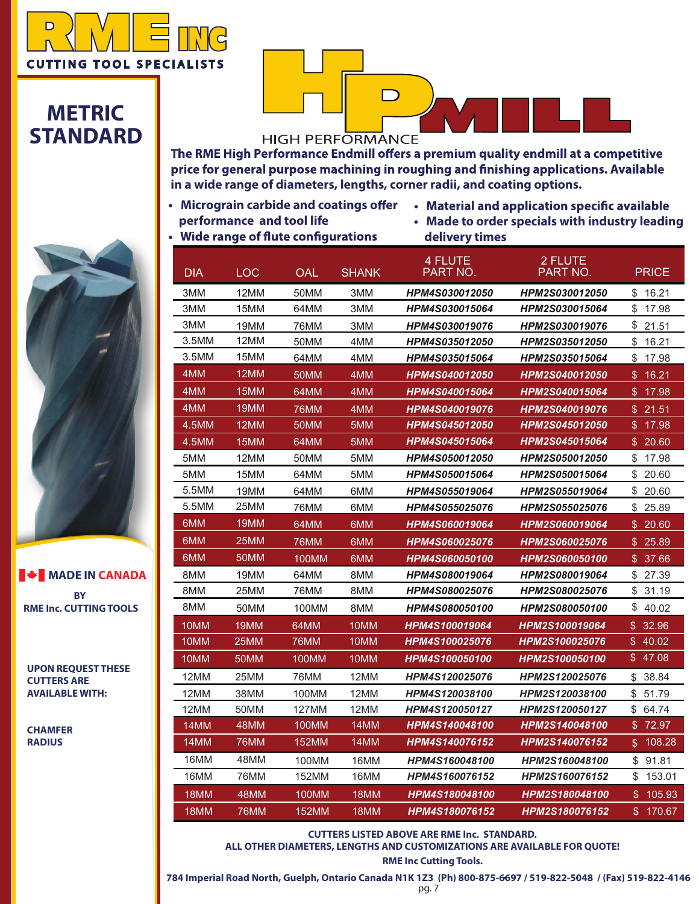

### **METRIC STANDARD**

# **HIGH PERFORMANCE**

 $\Box$ 

The RME High Performance Endmill offers a premium quality endmill at a competitive price for general purpose machining in roughing and finishing applications. Available **in a wide range of diameters, lengths, corner radii, and coating options.**

- **performance and tool life**<br>• Wide range of flute configurations
- Micrograin carbide and coatings offer Material and application specific available
	- **Made to order specials with industry leading delivery times**
- 



**BY BY RME Inc. CUTTINGTOOLS RME Inc. CUTTINGTOOLS MADE IN CANADA MADE IN CANADA**

**UPON REQUEST THESE UPON REQUEST THESE CUTTERS ARE CUTTERS ARE AVAILABLE WITH: AVAILABLE WITH:** 

**CHAMFER CHAMFER RADIUS RADIUS**

| DIA   | <b>LOC</b>  | OAL         | <b>SHANK</b> | 4 FLUTE<br>PART NO.   | 2 FLUTE<br>PART NO.          | <b>PRICE</b> |
|-------|-------------|-------------|--------------|-----------------------|------------------------------|--------------|
| 3MM   | 12MM        | 50MM        | 3MM          | HPM4S030012050        | HPM2S030012050               | \$<br>16.21  |
| 3MM   | 15MM        | 64MM        | змм          | <b>HPM4S030015064</b> | <b>HPM2S030015064</b>        | \$<br>17.98  |
| 3MM   | 19MM        | 76MM        | 3MM          | HPM4S030019076        | HPM2S030019076               | \$<br>21.51  |
| 3.5MM | 12MM        | 50MM        | 4MM          | <b>HPM4S035012050</b> | <b>HPM2S035012050</b>        | \$<br>16.21  |
| 3.5MM | 15MM        | 64MM        | 4MM          | HPM4S035015064        | HPM2S035015064               | \$<br>17.98  |
| 4MM   | 12MM        | 50MM        | 4MM          | <b>HPM4S040012050</b> | <b>HPM2S040012050</b>        | 16.21<br>\$. |
| 4MM   | 15MM        | 64MM        | 4MM          | HPM4S040015064        | HPM2S040015064               | \$<br>17.98  |
| 4MM   | 19MM        | 76MM        | 4MM          | HPM4S040019076        | <i><b>HPM2S040019076</b></i> | \$21.51      |
| 4.5MM | 12MM        | 50MM        | 5MM          | <b>HPM4S045012050</b> | <b>HPM2S045012050</b>        | 17.98<br>\$  |
| 4.5MM | 15MM        | 64MM        | 5MM          | <b>HPM4S045015064</b> | <b>HPM2S045015064</b>        | \$20.60      |
| 5MM   | 12MM        | 50MM        | 5MM          | <b>HPM4S050012050</b> | HPM2S050012050               | \$<br>17.98  |
| 5MM   | 15MM        | 64MM        | 5MM          | <b>HPM4S050015064</b> | <b>HPM2S050015064</b>        | \$<br>20.60  |
| 5.5MM | 19MM        | 64MM        | 6MM          | HPM4S055019064        | HPM2S055019064               | \$<br>20.60  |
| 5.5MM | 25MM        | 76MM        | 6MM          | <b>HPM4S055025076</b> | <b>HPM2S055025076</b>        | \$25.89      |
| 6MM   | 19MM        | 64MM        | 6MM          | HPM4S060019064        | HPM2S060019064               | 20.60<br>\$  |
| 6MM   | 25MM        | <b>76MM</b> | 6MM          | HPM4S060025076        | HPM2S060025076               | \$<br>25.89  |
| 6MM   | 50MM        | 100MM       | 6MM          | <b>HPM4S060050100</b> | <i><b>HPM2S060050100</b></i> | \$<br>37.66  |
| 8MM   | 19MM        | 64MM        | 8MM          | HPM4S080019064        | HPM2S080019064               | \$<br>27.39  |
| 8MM   | 25MM        | 76MM        | 8MM          | <b>HPM4S080025076</b> | HPM2S080025076               | \$<br>31.19  |
| 8MM   | 50MM        | 100MM       | 8MM          | <b>HPM4S080050100</b> | <b>HPM2S080050100</b>        | \$<br>40.02  |
| 10MM  | 19MM        | 64MM        | 10MM         | <b>HPM4S100019064</b> | <i>HPM2S100019064</i>        | 32.96<br>\$  |
| 10MM  | 25MM        | 76MM        | 10MM         | HPM4S100025076        | <i><b>HPM2S100025076</b></i> | \$<br>40.02  |
| 10MM  | 50MM        | 100MM       | 10MM         | <b>HPM4S100050100</b> | <i><b>HPM2S100050100</b></i> | \$47.08      |
| 12MM  | 25MM        | 76MM        | 12MM         | HPM4S120025076        | HPM2S120025076               | \$<br>38.84  |
| 12MM  | 38MM        | 100MM       | 12MM         | HPM4S120038100        | HPM2S120038100               | \$<br>51.79  |
| 12MM  | 50MM        | 127MM       | 12MM         | <b>HPM4S120050127</b> | <b>HPM2S120050127</b>        | \$<br>64.74  |
| 14MM  | 48MM        | 100MM       | 14MM         | <b>HPM4S140048100</b> | <b>HPM2S140048100</b>        | \$ 72.97     |
| 14MM  | <b>76MM</b> | 152MM       | 14MM         | HPM4S140076152        | HPM2S140076152               | 108.28<br>\$ |
| 16MM  | 48MM        | 100MM       | 16MM         | <b>HPM4S160048100</b> | <b>HPM2S160048100</b>        | \$<br>91.81  |
| 16MM  | 76MM        | 152MM       | 16MM         | HPM4S160076152        | HPM2S160076152               | \$<br>153.01 |
| 18MM  | 48MM        | 100MM       | 18MM         | HPM4S180048100        | <b>HPM2S180048100</b>        | \$<br>105.93 |
| 18MM  | 76MM        | 152MM       | 18MM         | <b>HPM4S180076152</b> | <b>HPM2S180076152</b>        | 170.67<br>\$ |

**CUTTERS LISTED ABOVE ARE RME Inc. STANDARD. ALL OTHER DIAMETERS, LENGTHS AND CUSTOMIZATIONS ARE AVAILABLE FOR QUOTE!** 

**RME Inc Cutting Tools.** 

**784 Imperial Road North, Guelph, Ontario Canada N1K 1Z3 (Ph) 800-875-6697 / 519-822-5048 / (Fax) 519-822-4146** 

pg. 7